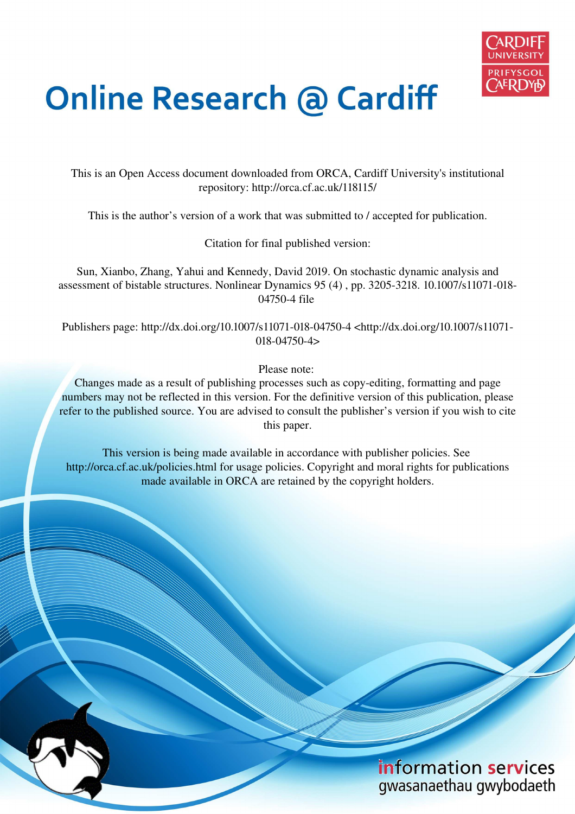

# **Online Research @ Cardiff**

This is an Open Access document downloaded from ORCA, Cardiff University's institutional repository: http://orca.cf.ac.uk/118115/

This is the author's version of a work that was submitted to / accepted for publication.

Citation for final published version:

Sun, Xianbo, Zhang, Yahui and Kennedy, David 2019. On stochastic dynamic analysis and assessment of bistable structures. Nonlinear Dynamics 95 (4) , pp. 3205-3218. 10.1007/s11071-018- 04750-4 file

Publishers page: http://dx.doi.org/10.1007/s11071-018-04750-4 <http://dx.doi.org/10.1007/s11071- 018-04750-4>

Please note:

Changes made as a result of publishing processes such as copy-editing, formatting and page numbers may not be reflected in this version. For the definitive version of this publication, please refer to the published source. You are advised to consult the publisher's version if you wish to cite this paper.

This version is being made available in accordance with publisher policies. See http://orca.cf.ac.uk/policies.html for usage policies. Copyright and moral rights for publications made available in ORCA are retained by the copyright holders.

## information services gwasanaethau gwybodaeth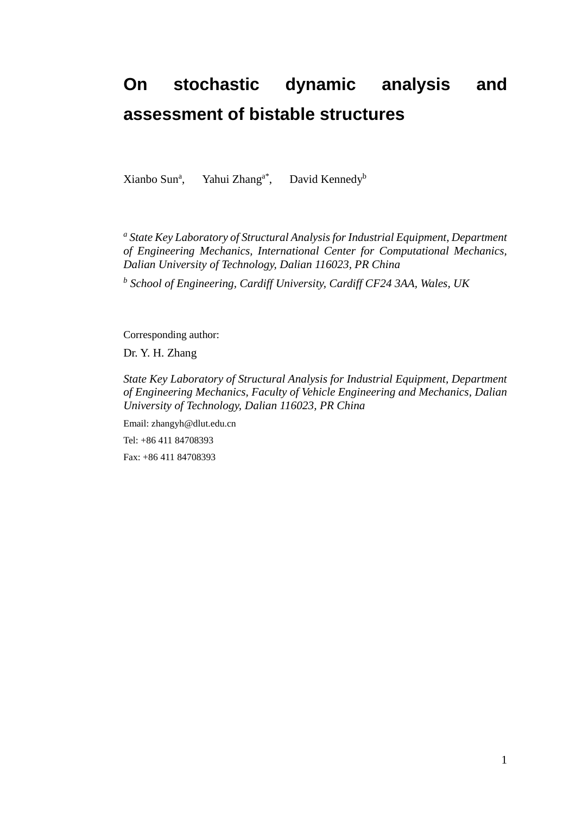## **On stochastic dynamic analysis and assessment of bistable structures**

Xianbo Sun<sup>a</sup>, Yahui Zhang<sup>a\*</sup>, David Kennedy<sup>b</sup>

<sup>a</sup> State Key Laboratory of Structural Analysis for Industrial Equipment, Department *of Engineering Mechanics, International Center for Computational Mechanics, Dalian University of Technology, Dalian 116023, PR China* 

*b School of Engineering, Cardiff University, Cardiff CF24 3AA, Wales, UK* 

Corresponding author:

Dr. Y. H. Zhang

*State Key Laboratory of Structural Analysis for Industrial Equipment, Department of Engineering Mechanics, Faculty of Vehicle Engineering and Mechanics, Dalian University of Technology, Dalian 116023, PR China* 

Email: zhangyh@dlut.edu.cn Tel: +86 411 84708393 Fax: +86 411 84708393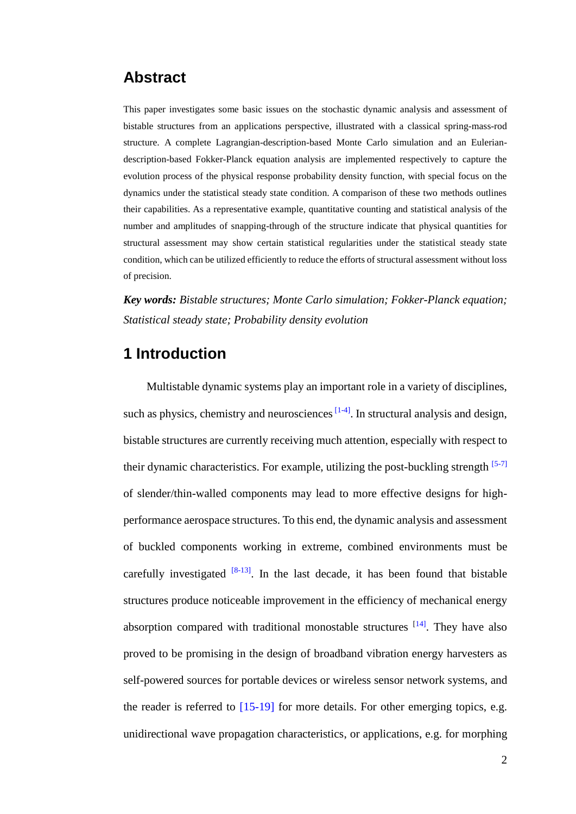## **Abstract**

This paper investigates some basic issues on the stochastic dynamic analysis and assessment of bistable structures from an applications perspective, illustrated with a classical spring-mass-rod structure. A complete Lagrangian-description-based Monte Carlo simulation and an Euleriandescription-based Fokker-Planck equation analysis are implemented respectively to capture the evolution process of the physical response probability density function, with special focus on the dynamics under the statistical steady state condition. A comparison of these two methods outlines their capabilities. As a representative example, quantitative counting and statistical analysis of the number and amplitudes of snapping-through of the structure indicate that physical quantities for structural assessment may show certain statistical regularities under the statistical steady state condition, which can be utilized efficiently to reduce the efforts of structural assessment without loss of precision.

*Key words: Bistable structures; Monte Carlo simulation; Fokker-Planck equation; Statistical steady state; Probability density evolution* 

### **1 Introduction**

Multistable dynamic systems play an important role in a variety of disciplines, such as physics, chemistry and neurosciences  $[1-4]$ . In structural analysis and design, bistable structures are currently receiving much attention, especially with respect to their dynamic characteristics. For example, utilizing the post-buckling strength  $[5-7]$ of slender/thin-walled components may lead to more effective designs for highperformance aerospace structures. To this end, the dynamic analysis and assessment of buckled components working in extreme, combined environments must be carefully investigated  $[8-13]$ . In the last decade, it has been found that bistable structures produce noticeable improvement in the efficiency of mechanical energy absorption compared with traditional monostable structures  $[14]$ . They have also proved to be promising in the design of broadband vibration energy harvesters as self-powered sources for portable devices or wireless sensor network systems, and the reader is referred to [15-19] for more details. For other emerging topics, e.g. unidirectional wave propagation characteristics, or applications, e.g. for morphing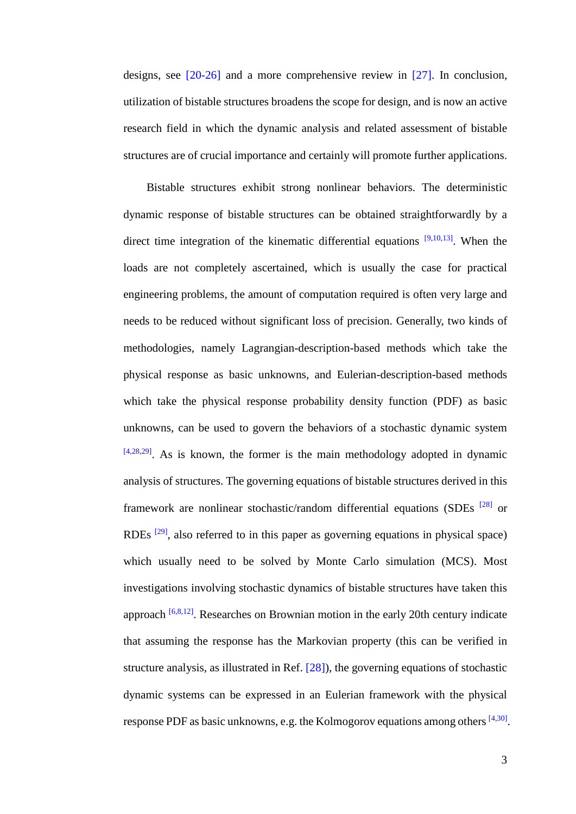designs, see [20-26] and a more comprehensive review in [27]. In conclusion, utilization of bistable structures broadens the scope for design, and is now an active research field in which the dynamic analysis and related assessment of bistable structures are of crucial importance and certainly will promote further applications.

Bistable structures exhibit strong nonlinear behaviors. The deterministic dynamic response of bistable structures can be obtained straightforwardly by a direct time integration of the kinematic differential equations  $[9,10,13]$ . When the loads are not completely ascertained, which is usually the case for practical engineering problems, the amount of computation required is often very large and needs to be reduced without significant loss of precision. Generally, two kinds of methodologies, namely Lagrangian-description-based methods which take the physical response as basic unknowns, and Eulerian-description-based methods which take the physical response probability density function (PDF) as basic unknowns, can be used to govern the behaviors of a stochastic dynamic system  $[4,28,29]$ . As is known, the former is the main methodology adopted in dynamic analysis of structures. The governing equations of bistable structures derived in this framework are nonlinear stochastic/random differential equations (SDEs  $^{[28]}$  or RDEs <sup>[29]</sup>, also referred to in this paper as governing equations in physical space) which usually need to be solved by Monte Carlo simulation (MCS). Most investigations involving stochastic dynamics of bistable structures have taken this approach  $[6,8,12]$ . Researches on Brownian motion in the early 20th century indicate that assuming the response has the Markovian property (this can be verified in structure analysis, as illustrated in Ref. [28]), the governing equations of stochastic dynamic systems can be expressed in an Eulerian framework with the physical response PDF as basic unknowns, e.g. the Kolmogorov equations among others  $[4,30]$ .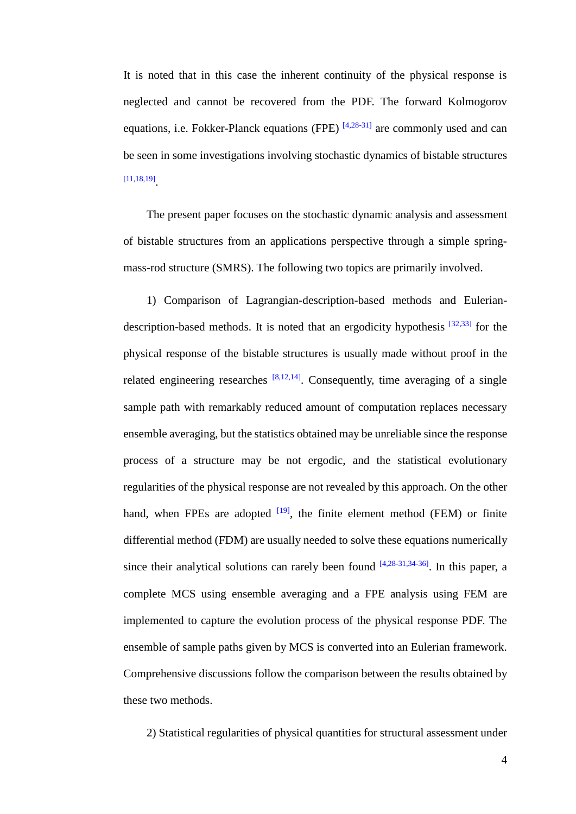It is noted that in this case the inherent continuity of the physical response is neglected and cannot be recovered from the PDF. The forward Kolmogorov equations, i.e. Fokker-Planck equations (FPE)  $^{[4,28-31]}$  are commonly used and can be seen in some investigations involving stochastic dynamics of bistable structures [11,18,19] .

The present paper focuses on the stochastic dynamic analysis and assessment of bistable structures from an applications perspective through a simple springmass-rod structure (SMRS). The following two topics are primarily involved.

1) Comparison of Lagrangian-description-based methods and Euleriandescription-based methods. It is noted that an ergodicity hypothesis  $[32,33]$  for the physical response of the bistable structures is usually made without proof in the related engineering researches  $[8,12,14]$ . Consequently, time averaging of a single sample path with remarkably reduced amount of computation replaces necessary ensemble averaging, but the statistics obtained may be unreliable since the response process of a structure may be not [ergodic,](file:///D:/Program%20Files%20(x86)/Dict/7.2.0.0703/resultui/dict/) and the statistical evolutionary regularities of the physical response are not revealed by this approach. On the other hand, when FPEs are adopted  $[19]$ , the finite element method (FEM) or finite differential method (FDM) are usually needed to solve these equations numerically since their analytical solutions can rarely been found  $[4,28-31,34-36]$ . In this paper, a complete MCS using ensemble averaging and a FPE analysis using FEM are implemented to capture the evolution process of the physical response PDF. The ensemble of sample paths given by MCS is converted into an Eulerian framework. Comprehensive discussions follow the comparison between the results obtained by these two methods.

2) Statistical regularities of physical quantities for structural assessment under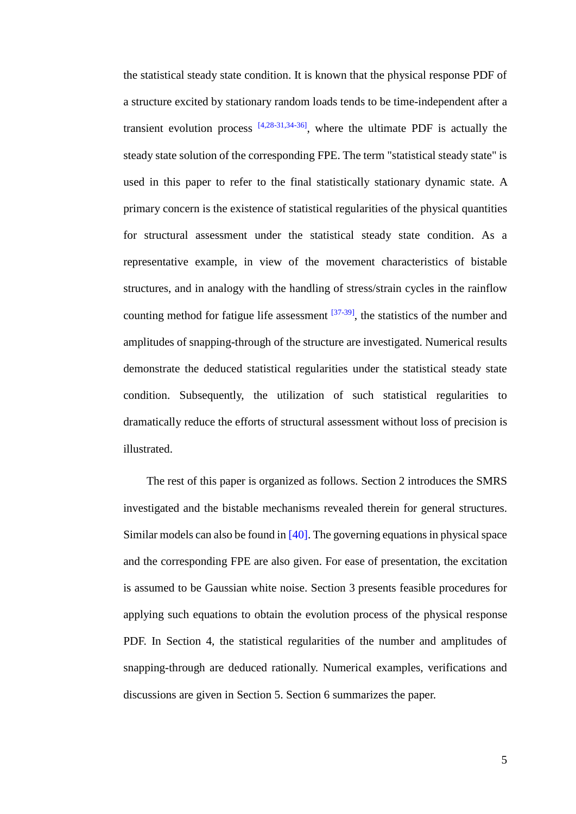the statistical steady state condition. It is known that the physical response PDF of a structure excited by stationary random loads tends to be time-independent after a transient evolution process  $[4,28-31,34-36]$ , where the ultimate PDF is actually the steady state solution of the corresponding FPE. The term "statistical steady state" is used in this paper to refer to the final statistically stationary dynamic state. A primary concern is the existence of statistical regularities of the physical quantities for structural assessment under the statistical steady state condition. As a representative example, in view of the movement characteristics of bistable structures, and in analogy with the handling of stress/strain cycles in the rainflow counting method for fatigue life assessment  $[37-39]$ , the statistics of the number and amplitudes of snapping-through of the structure are investigated. Numerical results demonstrate the deduced statistical regularities under the statistical steady state condition. Subsequently, the utilization of such statistical regularities to dramatically reduce the efforts of structural assessment without loss of precision is illustrated.

The rest of this paper is organized as follows. Section 2 introduces the SMRS investigated and the bistable mechanisms revealed therein for general structures. Similar models can also be found in [40]. The governing equations in physical space and the corresponding FPE are also given. For ease of presentation, the excitation is assumed to be Gaussian white noise. Section 3 presents feasible procedures for applying such equations to obtain the evolution process of the physical response PDF. In Section 4, the statistical regularities of the number and amplitudes of snapping-through are deduced rationally. Numerical examples, verifications and discussions are given in Section 5. Section 6 summarizes the paper.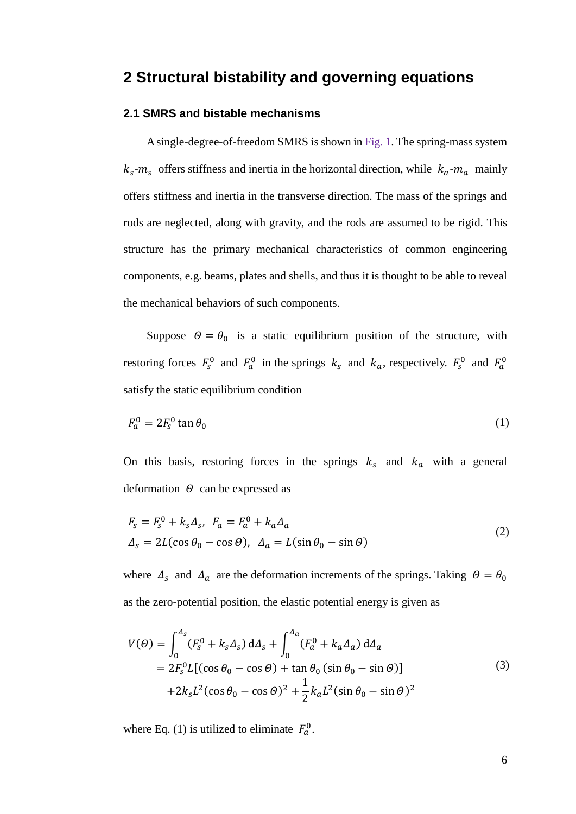## **2 Structural bistability and governing equations**

#### **2.1 SMRS and bistable mechanisms**

A single-degree-of-freedom SMRS is shown in Fig. 1. The spring-mass system  $k_s$ - $m_s$  offers stiffness and inertia in the horizontal direction, while  $k_a$ - $m_a$  mainly offers stiffness and inertia in the transverse direction. The mass of the springs and rods are neglected, along with gravity, and the rods are assumed to be rigid. This structure has the primary mechanical characteristics of common engineering components, e.g. beams, plates and shells, and thus it is thought to be able to reveal the mechanical behaviors of such components.

Suppose  $\theta = \theta_0$  is a static equilibrium position of the structure, with restoring forces  $F_s^0$  and  $F_a^0$  in the springs  $k_s$  and  $k_a$ , respectively.  $F_s^0$  and  $F_a^0$ satisfy the static equilibrium condition

$$
F_a^0 = 2F_s^0 \tan \theta_0 \tag{1}
$$

On this basis, restoring forces in the springs  $k_s$  and  $k_a$  with a general deformation  $\Theta$  can be expressed as

$$
F_s = F_s^0 + k_s \Delta_s, \ F_a = F_a^0 + k_a \Delta_a
$$
  

$$
\Delta_s = 2L(\cos \theta_0 - \cos \theta), \ \Delta_a = L(\sin \theta_0 - \sin \theta)
$$
 (2)

where  $\Delta_s$  and  $\Delta_a$  are the deformation increments of the springs. Taking  $\Theta = \theta_0$ as the zero-potential position, the elastic potential energy is given as

$$
V(\theta) = \int_0^{\Delta_s} (F_s^0 + k_s \Delta_s) d\Delta_s + \int_0^{\Delta_a} (F_a^0 + k_a \Delta_a) d\Delta_a
$$
  
=  $2F_s^0 L[(\cos \theta_0 - \cos \theta) + \tan \theta_0 (\sin \theta_0 - \sin \theta)]$   
+  $2k_s L^2(\cos \theta_0 - \cos \theta)^2 + \frac{1}{2}k_a L^2(\sin \theta_0 - \sin \theta)^2$  (3)

where Eq. (1) is utilized to eliminate  $F_a^0$ .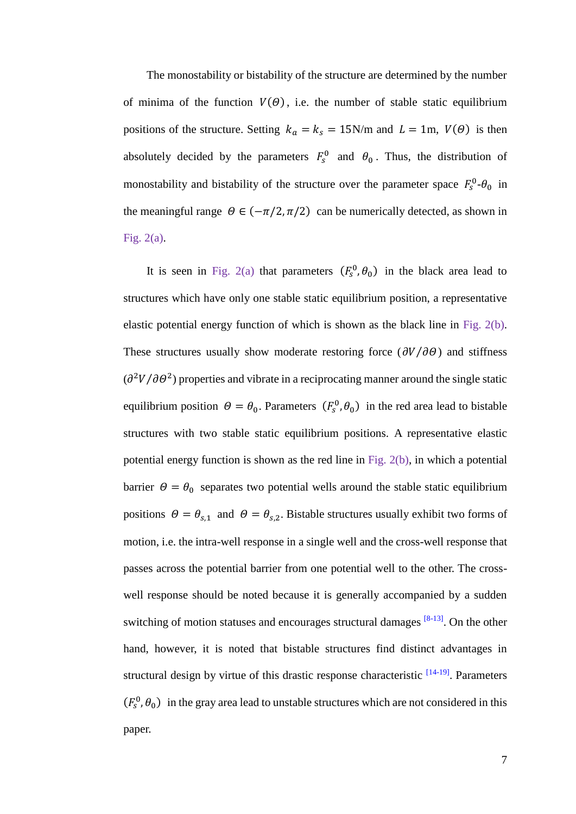The monostability or bistability of the structure are determined by the number of minima of the function  $V(\theta)$ , i.e. the number of stable static equilibrium positions of the structure. Setting  $k_a = k_s = 15$ N/m and  $L = 1$ m,  $V(\theta)$  is then absolutely decided by the parameters  $F_s^0$  and  $\theta_0$ . Thus, the distribution of monostability and bistability of the structure over the parameter space  $F_s^0$ - $\theta_0$  in the meaningful range  $\Theta \in (-\pi/2, \pi/2)$  can be numerically detected, as shown in Fig. 2(a).

It is seen in Fig. 2(a) that parameters  $(F_s^0, \theta_0)$  in the black area lead to structures which have only one stable static equilibrium position, a representative elastic potential energy function of which is shown as the black line in Fig. 2(b). These structures usually show moderate restoring force ( $\partial V/\partial \theta$ ) and stiffness  $\left(\frac{\partial^2 V}{\partial \theta^2}\right)$  properties and vibrate in a reciprocating manner around the single static equilibrium position  $\theta = \theta_0$ . Parameters  $(F_s^0, \theta_0)$  in the red area lead to bistable structures with two stable static equilibrium positions. A representative elastic potential energy function is shown as the red line in Fig. 2(b), in which a potential barrier  $\theta = \theta_0$  separates two potential wells around the stable static equilibrium positions  $\theta = \theta_{s,1}$  and  $\theta = \theta_{s,2}$ . Bistable structures usually exhibit two forms of motion, i.e. the intra-well response in a single well and the cross-well response that passes across the potential barrier from one potential well to the other. The crosswell response should be noted because it is generally accompanied by a sudden switching of motion statuses and encourages structural damages <sup>[8-13]</sup>. On the other hand, however, it is noted that bistable structures find distinct advantages in structural design by virtue of this drastic response characteristic <sup>[14-19]</sup>. Parameters  $(F_s^0, \theta_0)$  in the gray area lead to unstable structures which are not considered in this paper.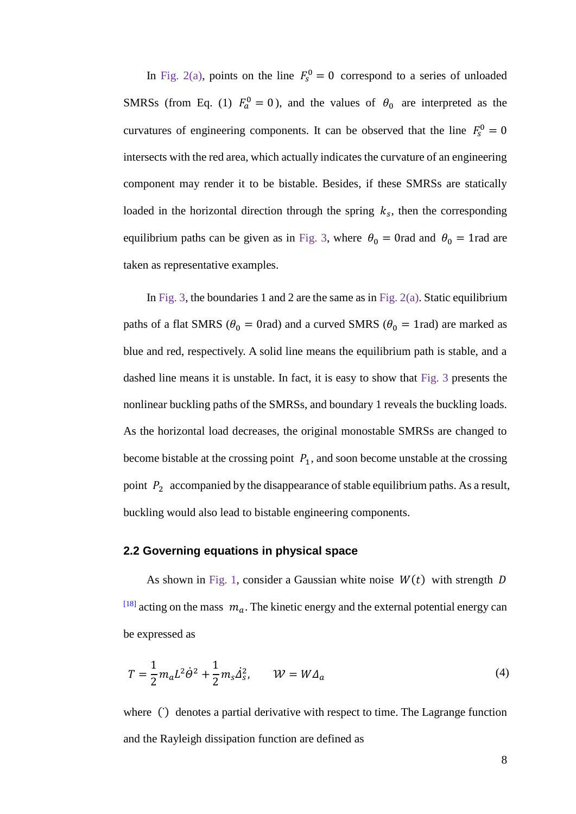In Fig. 2(a), points on the line  $F_s^0 = 0$  correspond to a series of unloaded SMRSs (from Eq. (1)  $F_a^0 = 0$ ), and the values of  $\theta_0$  are interpreted as the curvatures of engineering components. It can be observed that the line  $F_s^0 = 0$ intersects with the red area, which actually indicates the curvature of an engineering component may render it to be bistable. Besides, if these SMRSs are statically loaded in the horizontal direction through the spring  $k<sub>s</sub>$ , then the corresponding equilibrium paths can be given as in Fig. 3, where  $\theta_0 = 0$ rad and  $\theta_0 = 1$ rad are taken as representative examples.

In Fig. 3, the boundaries 1 and 2 are the same as in Fig.  $2(a)$ . Static equilibrium paths of a flat SMRS ( $\theta_0 = 0$ rad) and a curved SMRS ( $\theta_0 = 1$ rad) are marked as blue and red, respectively. A solid line means the equilibrium path is stable, and a dashed line means it is unstable. In fact, it is easy to show that Fig. 3 presents the nonlinear buckling paths of the SMRSs, and boundary 1 reveals the buckling loads. As the horizontal load decreases, the original monostable SMRSs are changed to become bistable at the crossing point  $P_1$ , and soon become unstable at the crossing point  $P_2$  accompanied by the disappearance of stable equilibrium paths. As a result, buckling would also lead to bistable engineering components.

#### **2.2 Governing equations in physical space**

As shown in Fig. 1, consider a Gaussian white noise  $W(t)$  with strength D  $^{[18]}$  acting on the mass  $m_a$ . The kinetic energy and the external potential energy can be expressed as

$$
T = \frac{1}{2} m_a L^2 \dot{\Theta}^2 + \frac{1}{2} m_s \dot{\Delta}_s^2, \qquad W = W \Delta_a \tag{4}
$$

where () denotes a partial derivative with respect to time. The Lagrange function and the Rayleigh dissipation function are defined as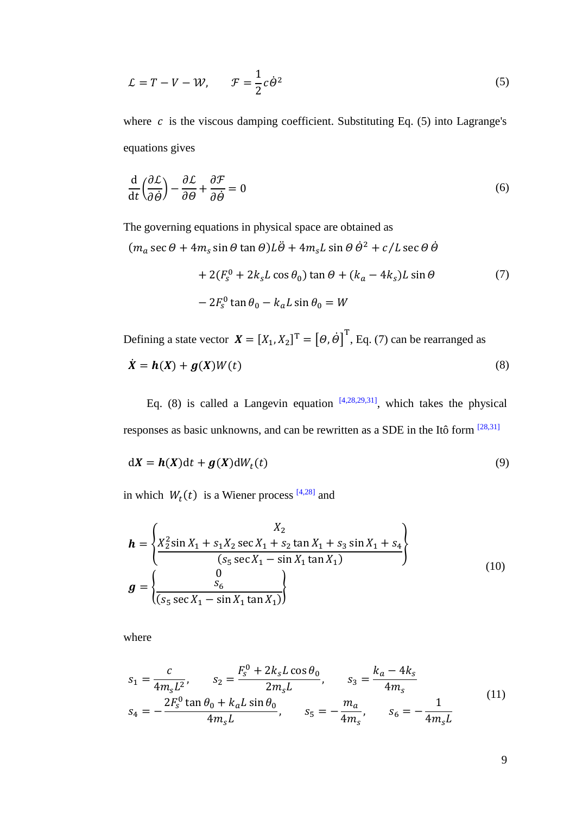$$
\mathcal{L} = T - V - W, \qquad \mathcal{F} = \frac{1}{2}c\dot{\theta}^2 \tag{5}
$$

where  $c$  is the viscous damping coefficient. Substituting Eq. (5) into Lagrange's equations gives

$$
\frac{\mathrm{d}}{\mathrm{d}t} \left( \frac{\partial \mathcal{L}}{\partial \dot{\theta}} \right) - \frac{\partial \mathcal{L}}{\partial \theta} + \frac{\partial \mathcal{F}}{\partial \dot{\theta}} = 0
$$
\n(6)

The governing equations in physical space are obtained as

 $(m_a \sec \theta + 4m_s \sin \theta \tan \theta)L\ddot{\theta} + 4m_s L \sin \theta \dot{\theta}^2 + c/L \sec \theta \dot{\theta}$  $+ 2(F<sub>S</sub><sup>0</sup> + 2k<sub>S</sub>L\cos\theta<sub>0</sub>)\tan\theta + (k<sub>a</sub> - 4k<sub>S</sub>)L\sin\theta$  $-2F_s^0 \tan \theta_0 - k_a L \sin \theta_0 = W$ (7)

Defining a state vector  $\mathbf{X} = [X_1, X_2]^T = [\Theta, \dot{\Theta}]^T$ , Eq. (7) can be rearranged as  $\dot{\mathbf{X}} = \mathbf{h}(\mathbf{X}) + \mathbf{g}(\mathbf{X})W(t)$  (8)

Eq. (8) is called a Langevin equation  $[4,28,29,31]$ , which takes the physical responses as basic unknowns, and can be rewritten as a SDE in the Itô form [28,31]

$$
dX = h(X)dt + g(X)dW_t(t)
$$
\n(9)

in which  $W_t(t)$  is a Wiener process <sup>[4,28]</sup> and

$$
\mathbf{h} = \begin{cases} X_2 \\ X_2^2 \sin X_1 + s_1 X_2 \sec X_1 + s_2 \tan X_1 + s_3 \sin X_1 + s_4 \\ (s_5 \sec X_1 - \sin X_1 \tan X_1) \end{cases}
$$
\n
$$
\mathbf{g} = \begin{cases} 0 \\ \frac{S_6}{(s_5 \sec X_1 - \sin X_1 \tan X_1)} \end{cases}
$$
\n(10)

where

$$
s_1 = \frac{c}{4m_sL^2}, \qquad s_2 = \frac{F_s^0 + 2k_sL\cos\theta_0}{2m_sL}, \qquad s_3 = \frac{k_a - 4k_s}{4m_s}
$$
  

$$
s_4 = -\frac{2F_s^0\tan\theta_0 + k_aL\sin\theta_0}{4m_sL}, \qquad s_5 = -\frac{m_a}{4m_s}, \qquad s_6 = -\frac{1}{4m_sL}
$$
 (11)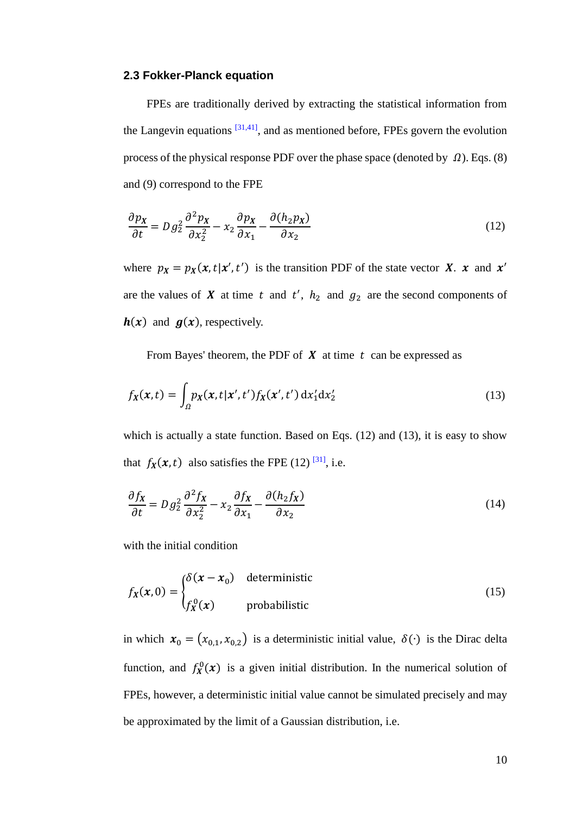#### **2.3 Fokker-Planck equation**

FPEs are traditionally derived by extracting the statistical information from the Langevin equations  $[31,41]$ , and as mentioned before, FPEs govern the evolution process of the physical response PDF over the phase space (denoted by  $\Omega$ ). Eqs. (8) and (9) correspond to the FPE

$$
\frac{\partial p_X}{\partial t} = Dg_2^2 \frac{\partial^2 p_X}{\partial x_2^2} - x_2 \frac{\partial p_X}{\partial x_1} - \frac{\partial (h_2 p_X)}{\partial x_2}
$$
(12)

where  $p_X = p_X(x, t | x', t')$  is the transition PDF of the state vector X. x and x' are the values of  $X$  at time  $t$  and  $t'$ ,  $h_2$  and  $g_2$  are the second components of  $h(x)$  and  $g(x)$ , respectively.

From Bayes' theorem, the PDF of  $X$  at time  $t$  can be expressed as

$$
f_X(x,t) = \int_{\Omega} p_X(x,t|x',t') f_X(x',t') \, \mathrm{d}x_1' \mathrm{d}x_2' \tag{13}
$$

which is actually a state function. Based on Eqs. (12) and (13), it is easy to show that  $f_X(x, t)$  also satisfies the FPE (12) <sup>[31]</sup>, i.e.

$$
\frac{\partial f_X}{\partial t} = Dg_2^2 \frac{\partial^2 f_X}{\partial x_2^2} - x_2 \frac{\partial f_X}{\partial x_1} - \frac{\partial (h_2 f_X)}{\partial x_2}
$$
(14)

with the initial condition

$$
f_X(x,0) = \begin{cases} \delta(x - x_0) & \text{deterministic} \\ f_X^0(x) & \text{probabilistic} \end{cases} \tag{15}
$$

in which  $x_0 = (x_{0,1}, x_{0,2})$  is a deterministic initial value,  $\delta(\cdot)$  is the Dirac delta function, and  $f_X^0(x)$  is a given initial distribution. In the numerical solution of FPEs, however, a deterministic initial value cannot be simulated precisely and may be approximated by the limit of a Gaussian distribution, i.e.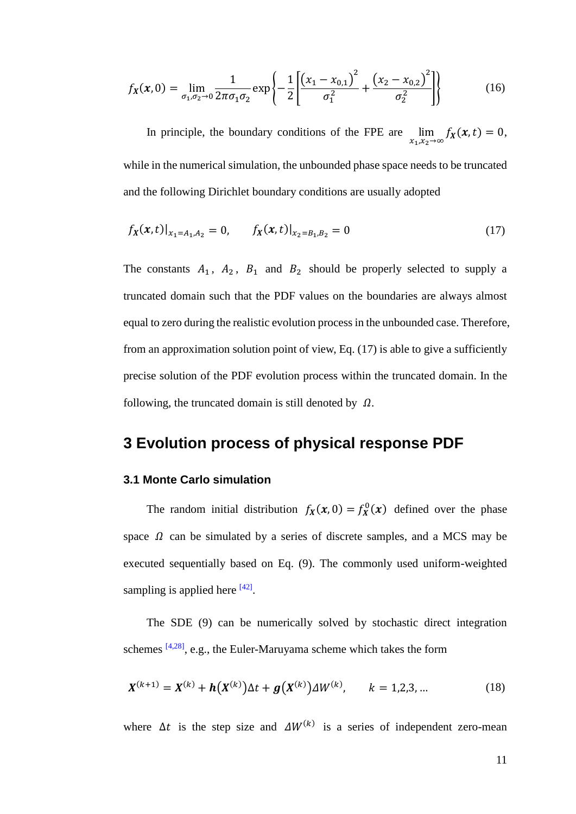$$
f_X(x,0) = \lim_{\sigma_1, \sigma_2 \to 0} \frac{1}{2\pi\sigma_1\sigma_2} \exp\left\{-\frac{1}{2} \left[ \frac{\left(x_1 - x_{0,1}\right)^2}{\sigma_1^2} + \frac{\left(x_2 - x_{0,2}\right)^2}{\sigma_2^2} \right] \right\}
$$
(16)

In principle, the boundary conditions of the FPE are  $\lim_{x_1, x_2 \to \infty} f_X(x, t) = 0$ , while in the numerical simulation, the unbounded phase space needs to be truncated and the following Dirichlet boundary conditions are usually adopted

$$
f_X(x,t)|_{x_1=A_1,A_2}=0, \t f_X(x,t)|_{x_2=B_1,B_2}=0 \t (17)
$$

The constants  $A_1$ ,  $A_2$ ,  $B_1$  and  $B_2$  should be properly selected to supply a truncated domain such that the PDF values on the boundaries are always almost equal to zero during the realistic evolution process in the unbounded case. Therefore, from an approximation solution point of view, Eq. (17) is able to give a sufficiently precise solution of the PDF evolution process within the truncated domain. In the following, the truncated domain is still denoted by  $\Omega$ .

## **3 Evolution process of physical response PDF**

#### **3.1 Monte Carlo simulation**

The random initial distribution  $f_X(x, 0) = f_X^0(x)$  defined over the phase space  $\Omega$  can be simulated by a series of discrete samples, and a MCS may be executed sequentially based on Eq. (9). The commonly used uniform-weighted sampling is applied here  $[42]$ .

The SDE (9) can be numerically solved by stochastic direct integration schemes  $[4,28]$ , e.g., the Euler-Maruyama scheme which takes the form

$$
X^{(k+1)} = X^{(k)} + h(X^{(k)})\Delta t + g(X^{(k)})\Delta W^{(k)}, \qquad k = 1, 2, 3, ... \tag{18}
$$

where  $\Delta t$  is the step size and  $\Delta W^{(k)}$  is a series of independent zero-mean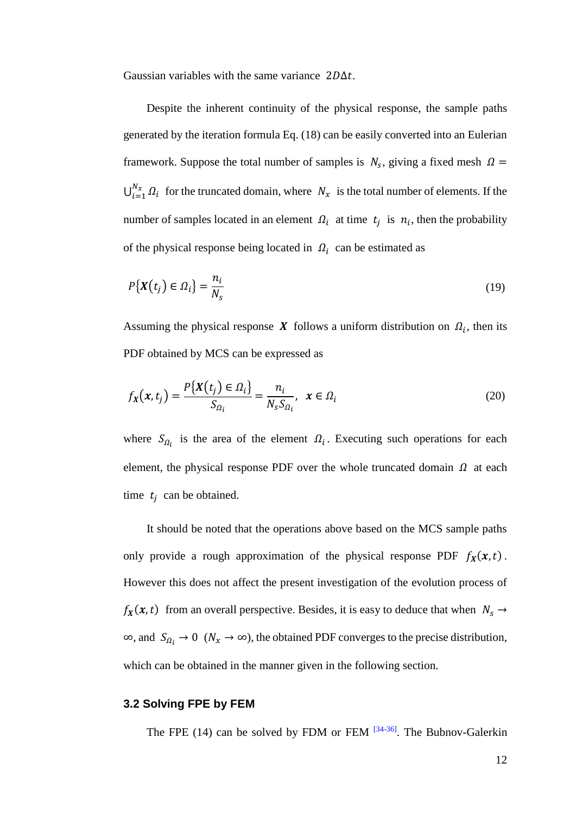Gaussian variables with the same variance  $2D\Delta t$ .

Despite the inherent continuity of the physical response, the sample paths generated by the iteration formula Eq. (18) can be easily converted into an Eulerian framework. Suppose the total number of samples is  $N_s$ , giving a fixed mesh  $\Omega =$  $\bigcup_{i=1}^{N_x} \Omega_i$  for the truncated domain, where  $N_x$  is the total number of elements. If the number of samples located in an element  $\Omega_i$  at time  $t_j$  is  $n_i$ , then the probability of the physical response being located in  $\Omega_i$  can be estimated as

$$
P\{X(t_j) \in \Omega_i\} = \frac{n_i}{N_s} \tag{19}
$$

Assuming the physical response X follows a uniform distribution on  $\Omega_i$ , then its PDF obtained by MCS can be expressed as

$$
f_X(x, t_j) = \frac{P\{X(t_j) \in \Omega_i\}}{S_{\Omega_i}} = \frac{n_i}{N_s S_{\Omega_i}}, \quad x \in \Omega_i
$$
\n(20)

where  $S_{\Omega_i}$  is the area of the element  $\Omega_i$ . Executing such operations for each element, the physical response PDF over the whole truncated domain  $\Omega$  at each time  $t_j$  can be obtained.

It should be noted that the operations above based on the MCS sample paths only provide a rough approximation of the physical response PDF  $f_X(x, t)$ . However this does not affect the present investigation of the evolution process of  $f_X(x, t)$  from an overall perspective. Besides, it is easy to deduce that when  $N_s \rightarrow$  $\infty$ , and  $S_{\Omega_i} \to 0 \quad (N_x \to \infty)$ , the obtained PDF converges to the precise distribution, which can be obtained in the manner given in the following section.

#### **3.2 Solving FPE by FEM**

The FPE (14) can be solved by FDM or FEM  $[34-36]$ . The Bubnov-Galerkin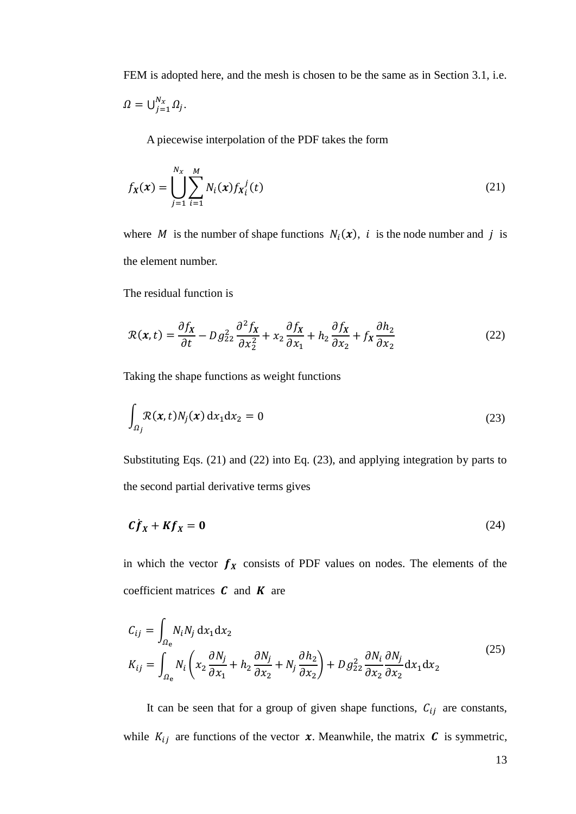FEM is adopted here, and the mesh is chosen to be the same as in Section 3.1, i.e.

$$
\Omega=\bigcup_{j=1}^{N_x}\Omega_j.
$$

A piecewise interpolation of the PDF takes the form

$$
f_X(x) = \bigcup_{j=1}^{N_X} \sum_{i=1}^{M} N_i(x) f_{X_i}^{\ j}(t)
$$
\n(21)

where M is the number of shape functions  $N_i(x)$ , i is the node number and j is the element number.

The residual function is

$$
\mathcal{R}(x,t) = \frac{\partial f_X}{\partial t} - D g_{22}^2 \frac{\partial^2 f_X}{\partial x_2^2} + x_2 \frac{\partial f_X}{\partial x_1} + h_2 \frac{\partial f_X}{\partial x_2} + f_X \frac{\partial h_2}{\partial x_2}
$$
(22)

Taking the shape functions as weight functions

$$
\int_{\Omega_j} \mathcal{R}(x, t) N_j(x) dx_1 dx_2 = 0
$$
\n(23)

Substituting Eqs. (21) and (22) into Eq. (23), and applying integration by parts to the second partial derivative terms gives

$$
Cf_X + Kf_X = 0 \tag{24}
$$

in which the vector  $f_X$  consists of PDF values on nodes. The elements of the coefficient matrices  $C$  and  $K$  are

$$
C_{ij} = \int_{\Omega_{\rm e}} N_i N_j \, dx_1 dx_2
$$
  
\n
$$
K_{ij} = \int_{\Omega_{\rm e}} N_i \left( x_2 \frac{\partial N_j}{\partial x_1} + h_2 \frac{\partial N_j}{\partial x_2} + N_j \frac{\partial h_2}{\partial x_2} \right) + D g_{22}^2 \frac{\partial N_i}{\partial x_2} \frac{\partial N_j}{\partial x_2} dx_1 dx_2
$$
\n(25)

It can be seen that for a group of given shape functions,  $C_{ij}$  are constants, while  $K_{ij}$  are functions of the vector  $x$ . Meanwhile, the matrix  $C$  is symmetric,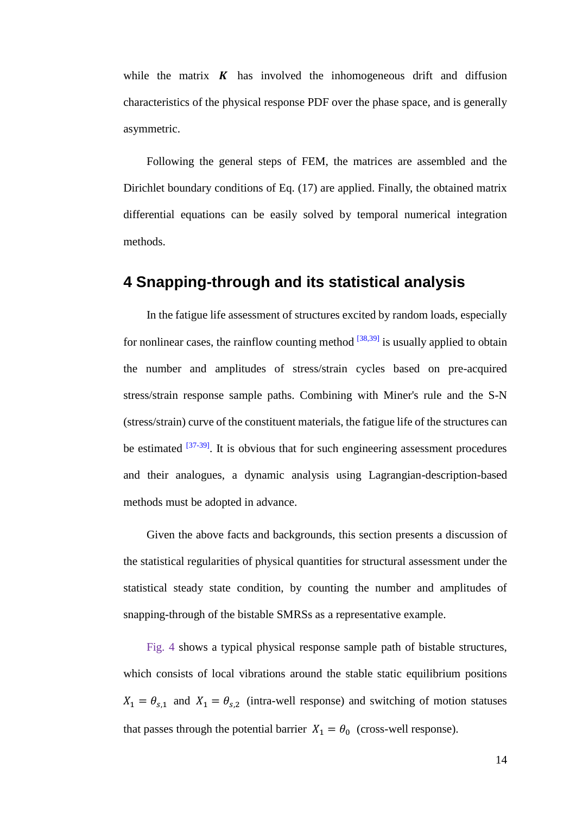while the matrix  $\boldsymbol{K}$  has involved the inhomogeneous drift and diffusion characteristics of the physical response PDF over the phase space, and is generally asymmetric.

Following the general steps of FEM, the matrices are assembled and the Dirichlet boundary conditions of Eq. (17) are applied. Finally, the obtained matrix differential equations can be easily solved by temporal numerical integration methods.

## **4 Snapping-through and its statistical analysis**

In the fatigue life assessment of structures excited by random loads, especially for nonlinear cases, the rainflow counting method  $^{[38,39]}$  is usually applied to obtain the number and amplitudes of stress/strain cycles based on pre-acquired stress/strain response sample paths. Combining with Miner's rule and the S-N (stress/strain) curve of the constituent materials, the fatigue life of the structures can be estimated  $[37-39]$ . It is obvious that for such engineering assessment procedures and their analogues, a dynamic analysis using Lagrangian-description-based methods must be adopted in advance.

Given the above facts and backgrounds, this section presents a discussion of the statistical regularities of physical quantities for structural assessment under the statistical steady state condition, by counting the number and amplitudes of snapping-through of the bistable SMRSs as a representative example.

Fig. 4 shows a typical physical response sample path of bistable structures, which consists of local vibrations around the stable static equilibrium positions  $X_1 = \theta_{s,1}$  and  $X_1 = \theta_{s,2}$  (intra-well response) and switching of motion statuses that passes through the potential barrier  $X_1 = \theta_0$  (cross-well response).

14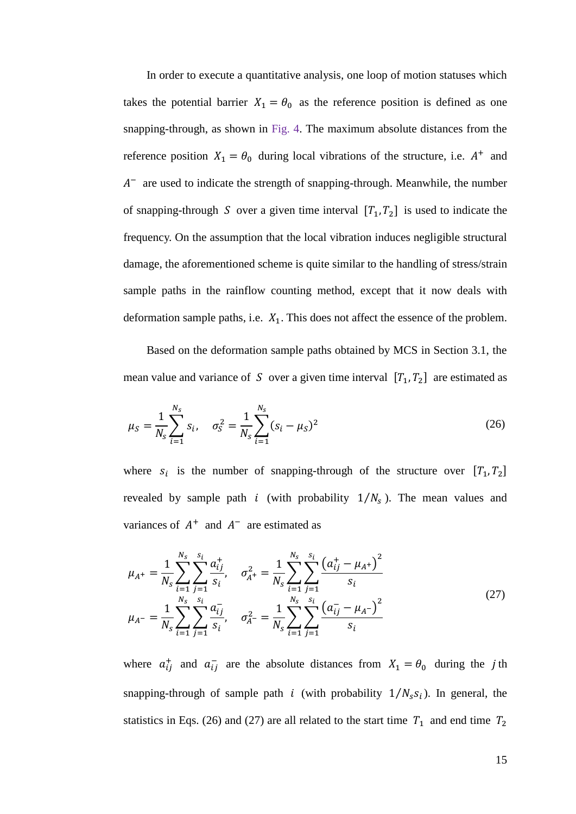In order to execute a quantitative analysis, one loop of motion statuses which takes the potential barrier  $X_1 = \theta_0$  as the reference position is defined as one snapping-through, as shown in Fig. 4. The maximum absolute distances from the reference position  $X_1 = \theta_0$  during local vibrations of the structure, i.e.  $A^+$  and  $A^-$  are used to indicate the strength of snapping-through. Meanwhile, the number of snapping-through S over a given time interval  $[T_1, T_2]$  is used to indicate the frequency. On the assumption that the local vibration induces negligible structural damage, the aforementioned scheme is quite similar to the handling of stress/strain sample paths in the rainflow counting method, except that it now deals with deformation sample paths, i.e.  $X_1$ . This does not affect the essence of the problem.

Based on the deformation sample paths obtained by MCS in Section 3.1, the mean value and variance of S over a given time interval  $[T_1, T_2]$  are estimated as

$$
\mu_S = \frac{1}{N_S} \sum_{i=1}^{N_S} s_i, \quad \sigma_S^2 = \frac{1}{N_S} \sum_{i=1}^{N_S} (s_i - \mu_S)^2
$$
\n(26)

where  $s_i$  is the number of snapping-through of the structure over  $[T_1, T_2]$ revealed by sample path *i* (with probability  $1/N_s$ ). The mean values and variances of  $A^+$  and  $A^-$  are estimated as

$$
\mu_{A^{+}} = \frac{1}{N_{s}} \sum_{i=1}^{N_{s}} \sum_{j=1}^{S_{i}} \frac{a_{ij}^{+}}{s_{i}}, \quad \sigma_{A^{+}}^{2} = \frac{1}{N_{s}} \sum_{i=1}^{N_{s}} \sum_{j=1}^{S_{i}} \frac{\left(a_{ij}^{+} - \mu_{A^{+}}\right)^{2}}{s_{i}}
$$
\n
$$
\mu_{A^{-}} = \frac{1}{N_{s}} \sum_{i=1}^{N_{s}} \sum_{j=1}^{S_{i}} \frac{a_{ij}^{-}}{s_{i}}, \quad \sigma_{A^{-}}^{2} = \frac{1}{N_{s}} \sum_{i=1}^{N_{s}} \sum_{j=1}^{S_{i}} \frac{\left(a_{ij}^{-} - \mu_{A^{-}}\right)^{2}}{s_{i}}
$$
\n
$$
(27)
$$

where  $a_{ij}^+$  and  $a_{ij}^-$  are the absolute distances from  $X_1 = \theta_0$  during the *j*th snapping-through of sample path *i* (with probability  $1/N_s s_i$ ). In general, the statistics in Eqs. (26) and (27) are all related to the start time  $T_1$  and end time  $T_2$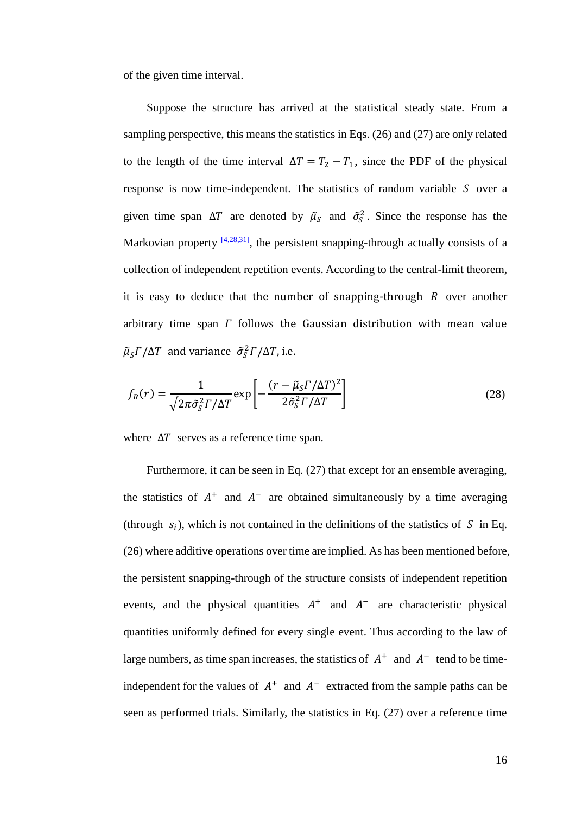of the given time interval.

Suppose the structure has arrived at the statistical steady state. From a sampling perspective, this means the statistics in Eqs. (26) and (27) are only related to the length of the time interval  $\Delta T = T_2 - T_1$ , since the PDF of the physical response is now time-independent. The statistics of random variable  $S$  over a given time span  $\Delta T$  are denoted by  $\tilde{\mu}_s$  and  $\tilde{\sigma}_s^2$ . Since the response has the Markovian property <sup>[4,28,31]</sup>, the persistent snapping-through actually consists of a collection of independent repetition events. According to the central-limit theorem, it is easy to deduce that the number of snapping-through  $R$  over another arbitrary time span  $\Gamma$  follows the Gaussian distribution with mean value  $\widetilde{\mu}_S \Gamma / \Delta T$  and variance  $\widetilde{\sigma}_S^2 \Gamma / \Delta T$ , i.e.

$$
f_R(r) = \frac{1}{\sqrt{2\pi\tilde{\sigma}_S^2 \Gamma/\Delta T}} \exp\left[-\frac{(r - \tilde{\mu}_S \Gamma/\Delta T)^2}{2\tilde{\sigma}_S^2 \Gamma/\Delta T}\right]
$$
(28)

where  $\Delta T$  serves as a reference time span.

Furthermore, it can be seen in Eq. (27) that except for an ensemble averaging, the statistics of  $A^+$  and  $A^-$  are obtained simultaneously by a time averaging (through  $s_i$ ), which is not contained in the definitions of the statistics of  $S$  in Eq. (26) where additive operations over time are implied. As has been mentioned before, the persistent snapping-through of the structure consists of independent repetition events, and the physical quantities  $A^+$  and  $A^-$  are characteristic physical quantities uniformly defined for every single event. Thus according to the law of large numbers, as time span increases, the statistics of  $A^+$  and  $A^-$  tend to be timeindependent for the values of  $A^+$  and  $A^-$  extracted from the sample paths can be seen as performed trials. Similarly, the statistics in Eq. (27) over a reference time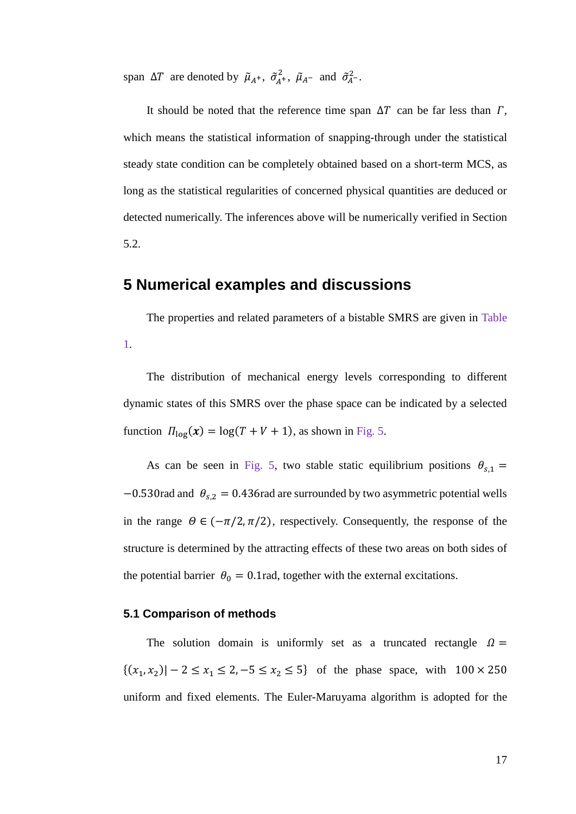span  $\Delta T$  are denoted by  $\tilde{\mu}_{A^+}, \tilde{\sigma}_{A^+}^2, \tilde{\mu}_{A^-}$  and  $\tilde{\sigma}_{A^-}^2$ .

It should be noted that the reference time span  $\Delta T$  can be far less than  $\Gamma$ , which means the statistical information of snapping-through under the statistical steady state condition can be completely obtained based on a short-term MCS, as long as the statistical regularities of concerned physical quantities are deduced or detected numerically. The inferences above will be numerically verified in Section 5.2.

## **5 Numerical examples and discussions**

The properties and related parameters of a bistable SMRS are given in Table 1.

The distribution of mechanical energy levels corresponding to different dynamic states of this SMRS over the phase space can be indicated by a selected function  $\Pi_{\text{log}}(x) = \log(T + V + 1)$ , as shown in Fig. 5.

As can be seen in Fig. 5, two stable static equilibrium positions  $\theta_{s,1} =$  $-0.530$ rad and  $\theta_{s,2} = 0.436$ rad are surrounded by two asymmetric potential wells in the range  $\Theta \in (-\pi/2, \pi/2)$ , respectively. Consequently, the response of the structure is determined by the attracting effects of these two areas on both sides of the potential barrier  $\theta_0 = 0.1$ rad, together with the external excitations.

#### **5.1 Comparison of methods**

The solution domain is uniformly set as a truncated rectangle  $\Omega =$  $\{(x_1, x_2) | -2 \le x_1 \le 2, -5 \le x_2 \le 5\}$  of the phase space, with  $100 \times 250$ uniform and fixed elements. The Euler-Maruyama algorithm is adopted for the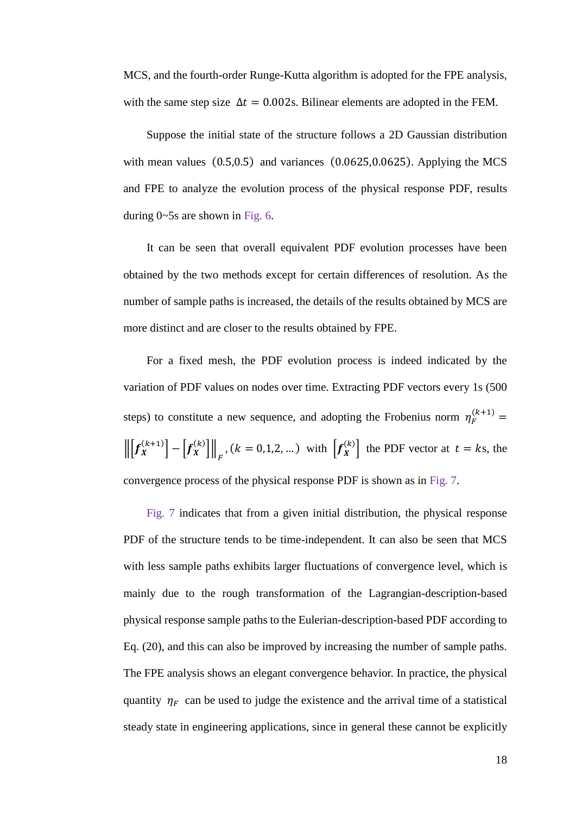MCS, and the fourth-order Runge-Kutta algorithm is adopted for the FPE analysis, with the same step size  $\Delta t = 0.002$ s. Bilinear elements are adopted in the FEM.

Suppose the initial state of the structure follows a 2D Gaussian distribution with mean values  $(0.5, 0.5)$  and variances  $(0.0625, 0.0625)$ . Applying the MCS and FPE to analyze the evolution process of the physical response PDF, results during 0~5s are shown in Fig. 6.

It can be seen that overall equivalent PDF evolution processes have been obtained by the two methods except for certain differences of resolution. As the number of sample paths is increased, the details of the results obtained by MCS are more distinct and are closer to the results obtained by FPE.

For a fixed mesh, the PDF evolution process is indeed indicated by the variation of PDF values on nodes over time. Extracting PDF vectors every 1s (500 steps) to constitute a new sequence, and adopting the Frobenius norm  $\eta_F^{(k+1)}$  =  $\left\| \left[ f_X^{(k+1)} \right] - \left[ f_X^{(k)} \right] \right\|_F$ ,  $(k = 0, 1, 2, ...)$  with  $\left[ f_X^{(k)} \right]$  the PDF vector at  $t = ks$ , the convergence process of the physical response PDF is shown as in Fig. 7.

Fig. 7 indicates that from a given initial distribution, the physical response PDF of the structure tends to be time-independent. It can also be seen that MCS with less sample paths exhibits larger fluctuations of convergence level, which is mainly due to the rough transformation of the Lagrangian-description-based physical response sample paths to the Eulerian-description-based PDF according to Eq. (20), and this can also be improved by increasing the number of sample paths. The FPE analysis shows an elegant convergence behavior. In practice, the physical quantity  $\eta_F$  can be used to judge the existence and the arrival time of a statistical steady state in engineering applications, since in general these cannot be explicitly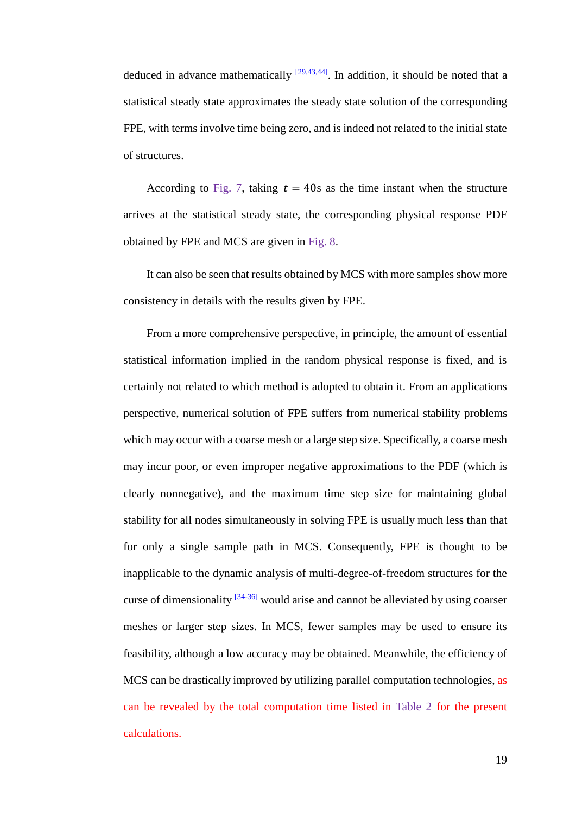deduced in advance mathematically  $[29,43,44]$ . In addition, it should be noted that a statistical steady state approximates the steady state solution of the corresponding FPE, with terms involve time being zero, and is indeed not related to the initial state of structures.

According to Fig. 7, taking  $t = 40s$  as the time instant when the structure arrives at the statistical steady state, the corresponding physical response PDF obtained by FPE and MCS are given in Fig. 8.

It can also be seen that results obtained by MCS with more samples show more consistency in details with the results given by FPE.

From a more comprehensive perspective, in principle, the amount of essential statistical information implied in the random physical response is fixed, and is certainly not related to which method is adopted to obtain it. From an applications perspective, numerical solution of FPE suffers from numerical stability problems which may occur with a coarse mesh or a large step size. Specifically, a coarse mesh may incur poor, or even improper negative approximations to the PDF (which is clearly nonnegative), and the maximum time step size for maintaining global stability for all nodes simultaneously in solving FPE is usually much less than that for only a single sample path in MCS. Consequently, FPE is thought to be inapplicable to the dynamic analysis of multi-degree-of-freedom structures for the curse of dimensionality  $[34-36]$  would arise and cannot be alleviated by using coarser meshes or larger step sizes. In MCS, fewer samples may be used to ensure its feasibility, although a low accuracy may be obtained. Meanwhile, the efficiency of MCS can be drastically improved by utilizing parallel computation technologies, as can be revealed by the total computation time listed in Table 2 for the present calculations.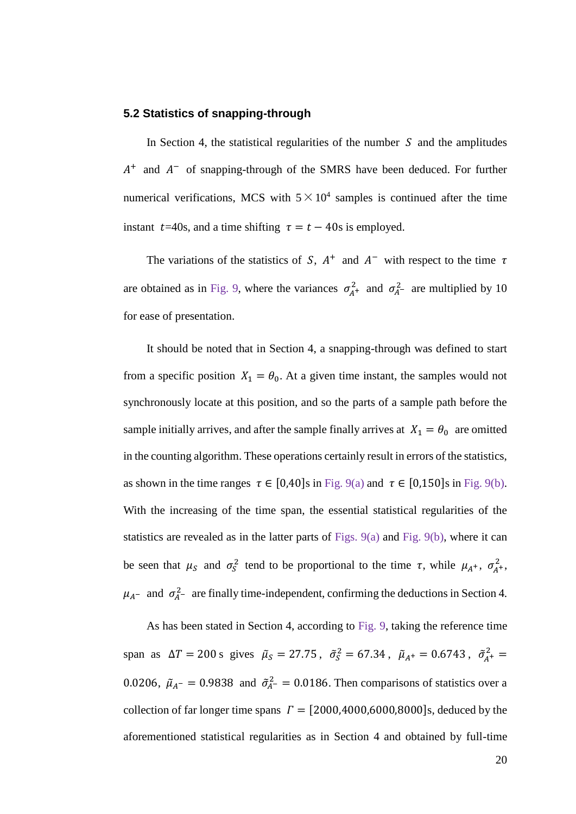#### **5.2 Statistics of snapping-through**

In Section 4, the statistical regularities of the number  $S$  and the amplitudes  $A^+$  and  $A^-$  of snapping-through of the SMRS have been deduced. For further numerical verifications, MCS with  $5 \times 10^4$  samples is continued after the time instant  $t=40s$ , and a time shifting  $\tau = t - 40s$  is employed.

The variations of the statistics of S,  $A^+$  and  $A^-$  with respect to the time  $\tau$ are obtained as in Fig. 9, where the variances  $\sigma_{A^+}^2$  and  $\sigma_{A^-}^2$  are multiplied by 10 for ease of presentation.

It should be noted that in Section 4, a snapping-through was defined to start from a specific position  $X_1 = \theta_0$ . At a given time instant, the samples would not synchronously locate at this position, and so the parts of a sample path before the sample initially arrives, and after the sample finally arrives at  $X_1 = \theta_0$  are omitted in the counting algorithm. These operations certainly result in errors of the statistics, as shown in the time ranges  $\tau \in [0,40]$ s in Fig. 9(a) and  $\tau \in [0,150]$ s in Fig. 9(b). With the increasing of the time span, the essential statistical regularities of the statistics are revealed as in the latter parts of Figs.  $9(a)$  and Fig.  $9(b)$ , where it can be seen that  $\mu_S$  and  $\sigma_S^2$  tend to be proportional to the time  $\tau$ , while  $\mu_{A^+}$ ,  $\sigma_{A^+}^2$ ,  $\mu_{A}$ – and  $\sigma_{A}^{2}$ – are finally time-independent, confirming the deductions in Section 4.

As has been stated in Section 4, according to Fig. 9, taking the reference time span as  $\Delta T = 200$  s gives  $\tilde{\mu}_s = 27.75$ ,  $\tilde{\sigma}_s^2 = 67.34$ ,  $\tilde{\mu}_{A^+} = 0.6743$ ,  $\tilde{\sigma}_{A^+}^2 =$ 0.0206,  $\tilde{\mu}_{A^-} = 0.9838$  and  $\tilde{\sigma}_{A^-}^2 = 0.0186$ . Then comparisons of statistics over a collection of far longer time spans  $\Gamma = [2000, 4000, 6000, 8000]$ s, deduced by the aforementioned statistical regularities as in Section 4 and obtained by full-time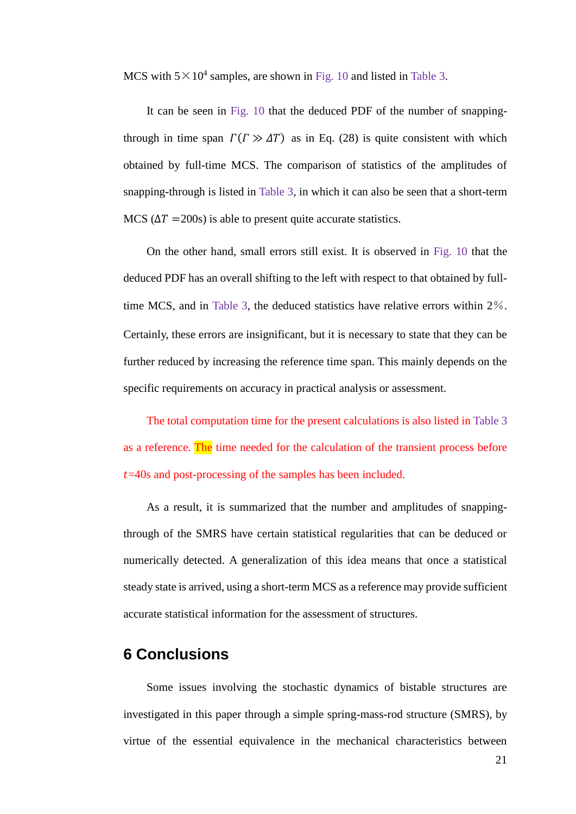MCS with  $5 \times 10^4$  samples, are shown in Fig. 10 and listed in Table 3.

It can be seen in Fig. 10 that the deduced PDF of the number of snappingthrough in time span  $\Gamma(\Gamma \gg \Delta T)$  as in Eq. (28) is quite consistent with which obtained by full-time MCS. The comparison of statistics of the amplitudes of snapping-through is listed in Table 3, in which it can also be seen that a short-term MCS  $(\Delta T = 200s)$  is able to present quite accurate statistics.

On the other hand, small errors still exist. It is observed in Fig. 10 that the deduced PDF has an overall shifting to the left with respect to that obtained by fulltime MCS, and in Table 3, the deduced statistics have relative errors within 2%. Certainly, these errors are insignificant, but it is necessary to state that they can be further reduced by increasing the reference time span. This mainly depends on the specific requirements on accuracy in practical analysis or assessment.

The total computation time for the present calculations is also listed in Table 3 as a reference. The time needed for the calculation of the transient process before  $t=40s$  and post-processing of the samples has been included.

As a result, it is summarized that the number and amplitudes of snappingthrough of the SMRS have certain statistical regularities that can be deduced or numerically detected. A generalization of this idea means that once a statistical steady state is arrived, using a short-term MCS as a reference may provide sufficient accurate statistical information for the assessment of structures.

## **6 Conclusions**

Some issues involving the stochastic dynamics of bistable structures are investigated in this paper through a simple spring-mass-rod structure (SMRS), by virtue of the essential equivalence in the mechanical characteristics between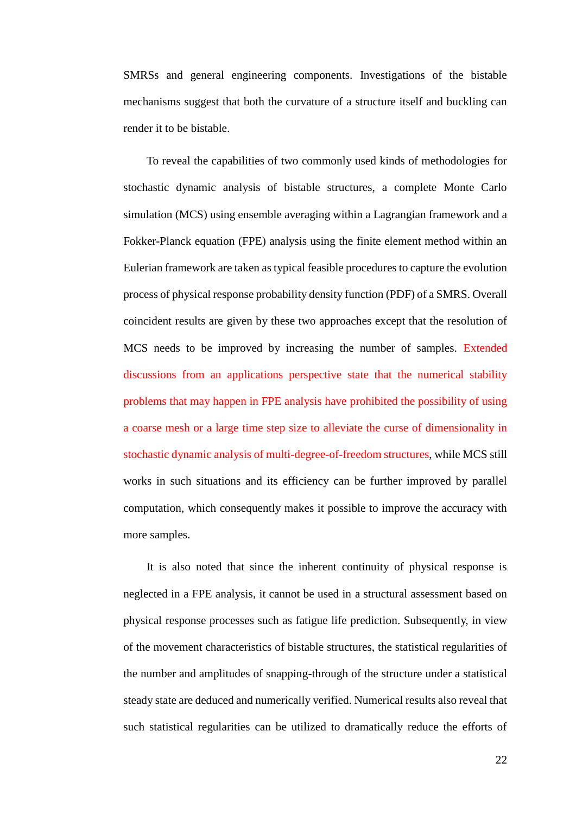SMRSs and general engineering components. Investigations of the bistable mechanisms suggest that both the curvature of a structure itself and buckling can render it to be bistable.

To reveal the capabilities of two commonly used kinds of methodologies for stochastic dynamic analysis of bistable structures, a complete Monte Carlo simulation (MCS) using ensemble averaging within a Lagrangian framework and a Fokker-Planck equation (FPE) analysis using the finite element method within an Eulerian framework are taken as typical feasible procedures to capture the evolution process of physical response probability density function (PDF) of a SMRS. Overall coincident results are given by these two approaches except that the resolution of MCS needs to be improved by increasing the number of samples. Extended discussions from an applications perspective state that the numerical stability problems that may happen in FPE analysis have prohibited the possibility of using a coarse mesh or a large time step size to alleviate the curse of dimensionality in stochastic dynamic analysis of multi-degree-of-freedom structures, while MCS still works in such situations and its efficiency can be further improved by parallel computation, which consequently makes it possible to improve the accuracy with more samples.

It is also noted that since the inherent continuity of physical response is neglected in a FPE analysis, it cannot be used in a structural assessment based on physical response processes such as fatigue life prediction. Subsequently, in view of the movement characteristics of bistable structures, the statistical regularities of the number and amplitudes of snapping-through of the structure under a statistical steady state are deduced and numerically verified. Numerical results also reveal that such statistical regularities can be utilized to dramatically reduce the efforts of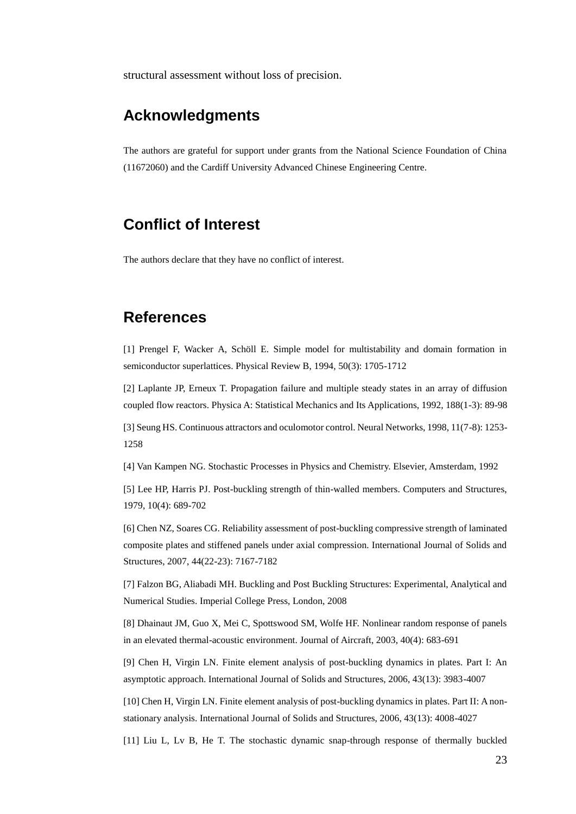structural assessment without loss of precision.

## **Acknowledgments**

The authors are grateful for support under grants from the National Science Foundation of China (11672060) and the Cardiff University Advanced Chinese Engineering Centre.

## **Conflict of Interest**

The authors declare that they have no conflict of interest.

## **References**

[1] Prengel F, Wacker A, Schöll E. Simple model for multistability and domain formation in semiconductor superlattices. Physical Review B, 1994, 50(3): 1705-1712

[2] Laplante JP, Erneux T. Propagation failure and multiple steady states in an array of diffusion coupled flow reactors. Physica A: Statistical Mechanics and Its Applications, 1992, 188(1-3): 89-98

[3] Seung HS. Continuous attractors and oculomotor control. Neural Networks, 1998, 11(7-8): 1253- 1258

[4] Van Kampen NG. Stochastic Processes in Physics and Chemistry. Elsevier, Amsterdam, 1992

[5] Lee HP, Harris PJ. Post-buckling strength of thin-walled members. Computers and Structures, 1979, 10(4): 689-702

[6] Chen NZ, Soares CG. Reliability assessment of post-buckling compressive strength of laminated composite plates and stiffened panels under axial compression. International Journal of Solids and Structures, 2007, 44(22-23): 7167-7182

[7] Falzon BG, Aliabadi MH. Buckling and Post Buckling Structures: Experimental, Analytical and Numerical Studies. Imperial College Press, London, 2008

[8] Dhainaut JM, Guo X, Mei C, Spottswood SM, Wolfe HF. Nonlinear random response of panels in an elevated thermal-acoustic environment. Journal of Aircraft, 2003, 40(4): 683-691

[9] Chen H, Virgin LN. Finite element analysis of post-buckling dynamics in plates. Part I: An asymptotic approach. International Journal of Solids and Structures, 2006, 43(13): 3983-4007

[10] Chen H, Virgin LN. Finite element analysis of post-buckling dynamics in plates. Part II: A nonstationary analysis. International Journal of Solids and Structures, 2006, 43(13): 4008-4027

[11] Liu L, Lv B, He T. The stochastic dynamic snap-through response of thermally buckled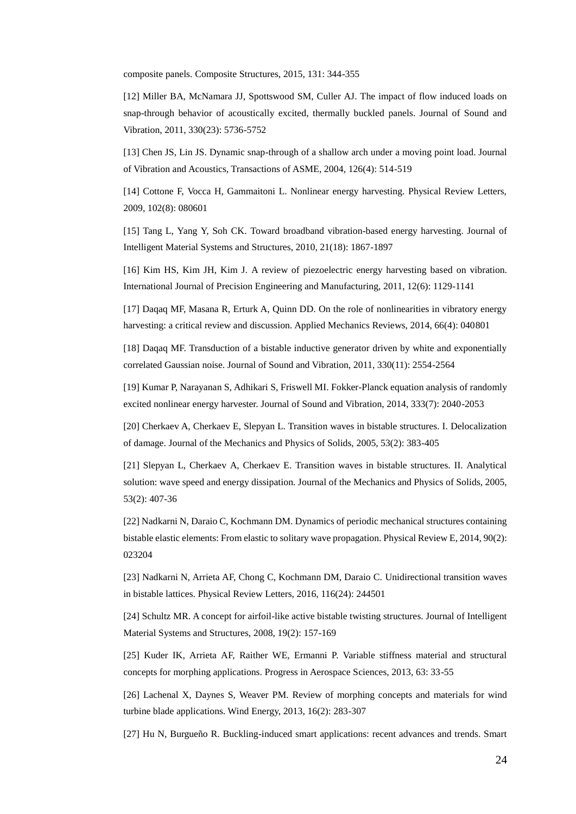composite panels. Composite Structures, 2015, 131: 344-355

[12] Miller BA, McNamara JJ, Spottswood SM, Culler AJ. The impact of flow induced loads on snap-through behavior of acoustically excited, thermally buckled panels. Journal of Sound and Vibration, 2011, 330(23): 5736-5752

[13] Chen JS, Lin JS. Dynamic snap-through of a shallow arch under a moving point load. Journal of Vibration and Acoustics, Transactions of ASME, 2004, 126(4): 514-519

[14] Cottone F, Vocca H, Gammaitoni L. Nonlinear energy harvesting. Physical Review Letters, 2009, 102(8): 080601

[15] Tang L, Yang Y, Soh CK. Toward broadband vibration-based energy harvesting. Journal of Intelligent Material Systems and Structures, 2010, 21(18): 1867-1897

[16] Kim HS, Kim JH, Kim J. A review of piezoelectric energy harvesting based on vibration. International Journal of Precision Engineering and Manufacturing, 2011, 12(6): 1129-1141

[17] Daqaq MF, Masana R, Erturk A, Quinn DD. On the role of nonlinearities in vibratory energy harvesting: a critical review and discussion. Applied Mechanics Reviews, 2014, 66(4): 040801

[18] Daqaq MF. Transduction of a bistable inductive generator driven by white and exponentially correlated Gaussian noise. Journal of Sound and Vibration, 2011, 330(11): 2554-2564

[19] Kumar P, Narayanan S, Adhikari S, Friswell MI. Fokker-Planck equation analysis of randomly excited nonlinear energy harvester. Journal of Sound and Vibration, 2014, 333(7): 2040-2053

[20] Cherkaev A, Cherkaev E, Slepyan L. Transition waves in bistable structures. I. Delocalization of damage. Journal of the Mechanics and Physics of Solids, 2005, 53(2): 383-405

[21] Slepyan L, Cherkaev A, Cherkaev E. Transition waves in bistable structures. II. Analytical solution: wave speed and energy dissipation. Journal of the Mechanics and Physics of Solids, 2005, 53(2): 407-36

[22] Nadkarni N, Daraio C, Kochmann DM. Dynamics of periodic mechanical structures containing bistable elastic elements: From elastic to solitary wave propagation. Physical Review E, 2014, 90(2): 023204

[23] Nadkarni N, Arrieta AF, Chong C, Kochmann DM, Daraio C. Unidirectional transition waves in bistable lattices. Physical Review Letters, 2016, 116(24): 244501

[24] Schultz MR. A concept for airfoil-like active bistable twisting structures. Journal of Intelligent Material Systems and Structures, 2008, 19(2): 157-169

[25] Kuder IK, Arrieta AF, Raither WE, Ermanni P. Variable stiffness material and structural concepts for morphing applications. Progress in Aerospace Sciences, 2013, 63: 33-55

[26] Lachenal X, Daynes S, Weaver PM. Review of morphing concepts and materials for wind turbine blade applications. Wind Energy, 2013, 16(2): 283-307

[27] Hu N, Burgueño R. Buckling-induced smart applications: recent advances and trends. Smart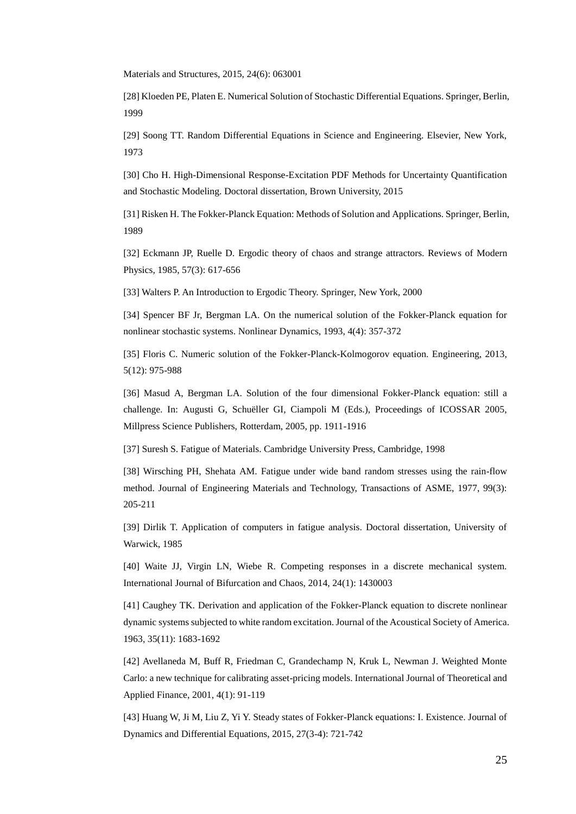Materials and Structures, 2015, 24(6): 063001

[28] Kloeden PE, Platen E. Numerical Solution of Stochastic Differential Equations. Springer, Berlin, 1999

[29] Soong TT. Random Differential Equations in Science and Engineering. Elsevier, New York, 1973

[30] Cho H. High-Dimensional Response-Excitation PDF Methods for Uncertainty Quantification and Stochastic Modeling. Doctoral dissertation, Brown University, 2015

[31] Risken H. The Fokker-Planck Equation: Methods of Solution and Applications. Springer, Berlin, 1989

[32] Eckmann JP, Ruelle D. Ergodic theory of chaos and strange attractors. Reviews of Modern Physics, 1985, 57(3): 617-656

[33] Walters P. An Introduction to Ergodic Theory. Springer, New York, 2000

[34] Spencer BF Jr, Bergman LA. On the numerical solution of the Fokker-Planck equation for nonlinear stochastic systems. Nonlinear Dynamics, 1993, 4(4): 357-372

[35] Floris C. Numeric solution of the Fokker-Planck-Kolmogorov equation. Engineering, 2013, 5(12): 975-988

[36] Masud A, Bergman LA. Solution of the four dimensional Fokker-Planck equation: still a challenge. In: Augusti G, Schuëller GI, Ciampoli M (Eds.), Proceedings of ICOSSAR 2005, Millpress Science Publishers, Rotterdam, 2005, pp. 1911-1916

[37] Suresh S. Fatigue of Materials. Cambridge University Press, Cambridge, 1998

[38] Wirsching PH, Shehata AM. Fatigue under wide band random stresses using the rain-flow method. Journal of Engineering Materials and Technology, Transactions of ASME, 1977, 99(3): 205-211

[39] Dirlik T. Application of computers in fatigue analysis. Doctoral dissertation, University of Warwick, 1985

[40] Waite JJ, Virgin LN, Wiebe R. Competing responses in a discrete mechanical system. International Journal of Bifurcation and Chaos, 2014, 24(1): 1430003

[41] Caughey TK. Derivation and application of the Fokker-Planck equation to discrete nonlinear dynamic systems subjected to white random excitation. Journal of the Acoustical Society of America. 1963, 35(11): 1683-1692

[42] Avellaneda M, Buff R, Friedman C, Grandechamp N, Kruk L, Newman J. Weighted Monte Carlo: a new technique for calibrating asset-pricing models. International Journal of Theoretical and Applied Finance, 2001, 4(1): 91-119

[43] Huang W, Ji M, Liu Z, Yi Y. Steady states of Fokker-Planck equations: I. Existence. Journal of Dynamics and Differential Equations, 2015, 27(3-4): 721-742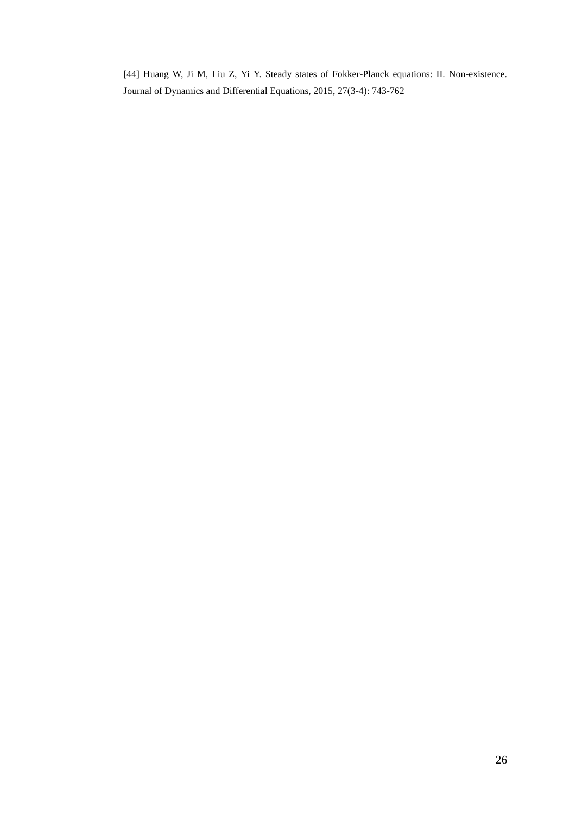[44] Huang W, Ji M, Liu Z, Yi Y. Steady states of Fokker-Planck equations: II. Non-existence. Journal of Dynamics and Differential Equations, 2015, 27(3-4): 743-762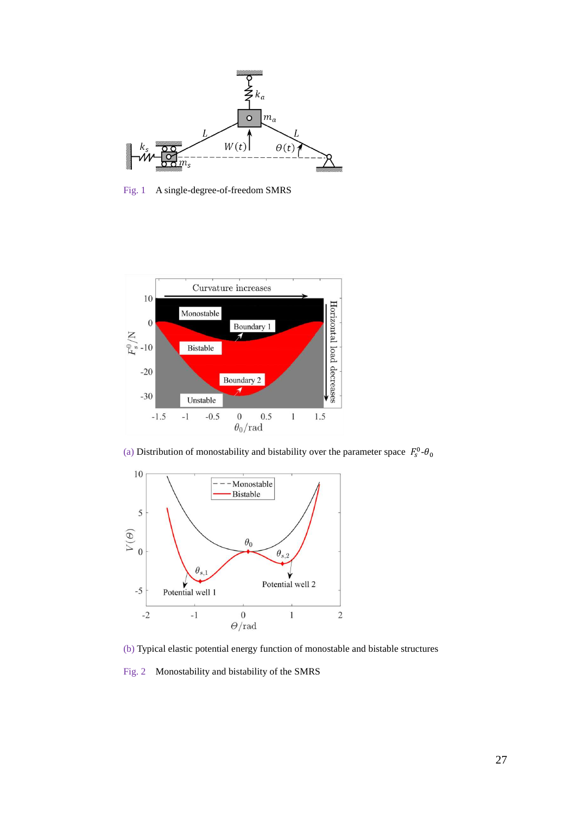

Fig. 1 A single-degree-of-freedom SMRS



(a) Distribution of monostability and bistability over the parameter space  $F_s^0$ - $\theta_0$ 



(b) Typical elastic potential energy function of monostable and bistable structures

Fig. 2 Monostability and bistability of the SMRS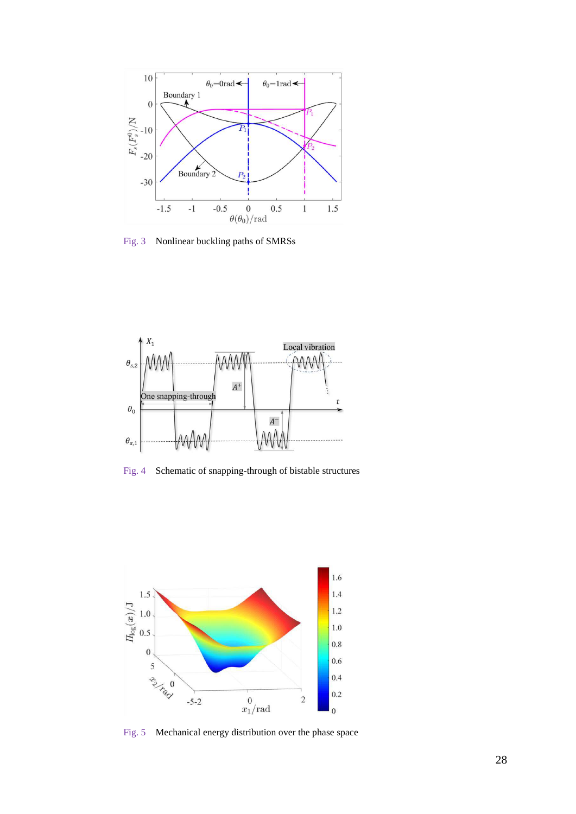

Fig. 3 Nonlinear buckling paths of SMRSs



Fig. 4 Schematic of snapping-through of bistable structures



Fig. 5 Mechanical energy distribution over the phase space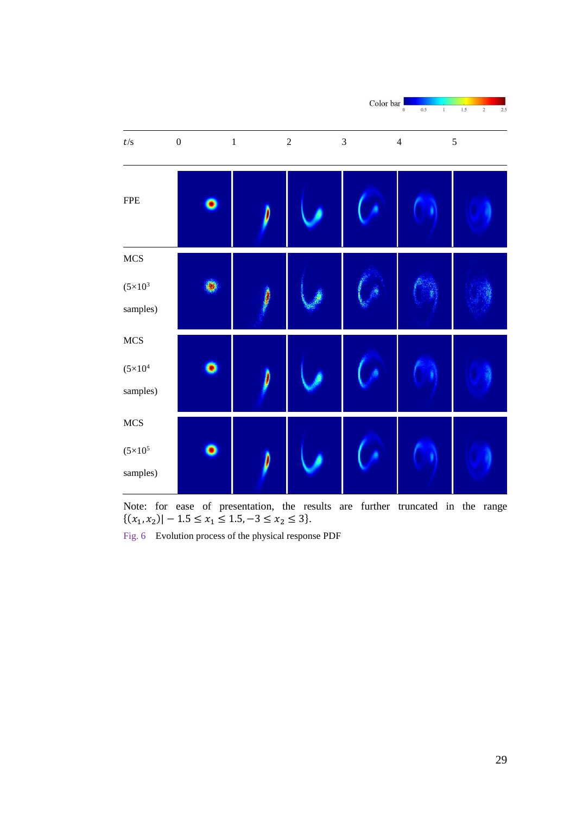

Note: for ease of presentation, the results are further truncated in the range  $\{(x_1, x_2) \mid -1.5 \le x_1 \le 1.5, -3 \le x_2 \le 3\}.$ 

Fig. 6 Evolution process of the physical response PDF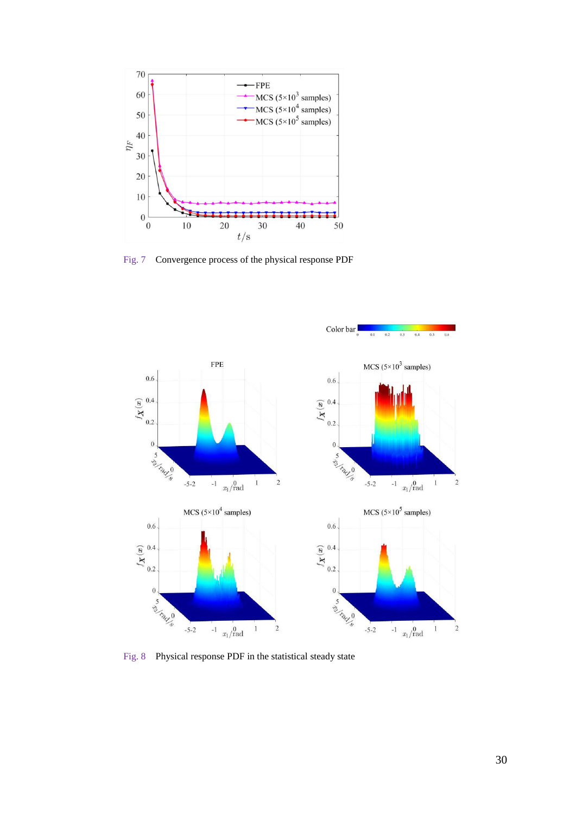

Fig. 7 Convergence process of the physical response PDF



Fig. 8 Physical response PDF in the statistical steady state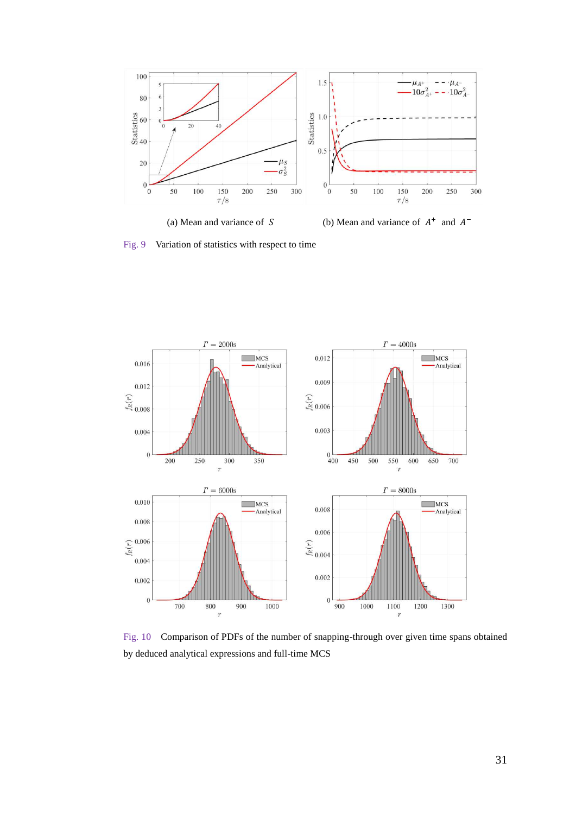

(a) Mean and variance of  $S$ 

 $^+$  and  $A^-$ 

Fig. 9 Variation of statistics with respect to time



Fig. 10 Comparison of PDFs of the number of snapping-through over given time spans obtained by deduced analytical expressions and full-time MCS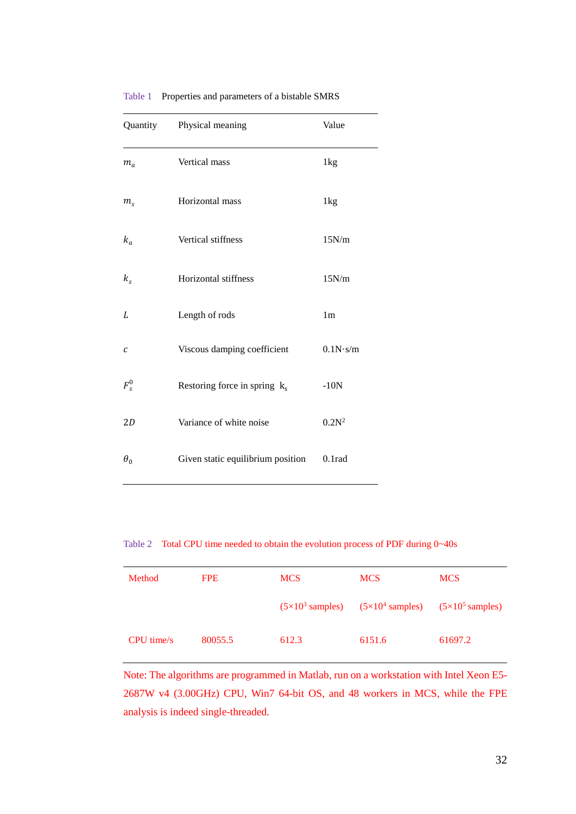| Quantity       | Physical meaning                  | Value          |
|----------------|-----------------------------------|----------------|
| $m_a$          | Vertical mass                     | 1kg            |
| m <sub>s</sub> | Horizontal mass                   | 1kg            |
| $k_a$          | Vertical stiffness                | 15N/m          |
| $k_{s}$        | Horizontal stiffness              | 15N/m          |
| L              | Length of rods                    | 1 <sub>m</sub> |
| C              | Viscous damping coefficient       | 0.1N·s/m       |
| $F_s^0$        | Restoring force in spring $k_s$   | $-10N$         |
| 2D             | Variance of white noise           | $0.2N^2$       |
| $\theta_0$     | Given static equilibrium position | 0.1rad         |

Table 1 Properties and parameters of a bistable SMRS

Table 2 Total CPU time needed to obtain the evolution process of PDF during 0~40s

| Method     | <b>FPE</b> | <b>MCS</b> | <b>MCS</b>                                                                                      | <b>MCS</b> |
|------------|------------|------------|-------------------------------------------------------------------------------------------------|------------|
|            |            |            | $(5\times10^3 \text{ samples})$ $(5\times10^4 \text{ samples})$ $(5\times10^5 \text{ samples})$ |            |
| CPU time/s | 80055.5    | 612.3      | 6151.6                                                                                          | 61697.2    |

Note: The algorithms are programmed in Matlab, run on a workstation with Intel Xeon E5- 2687W v4 (3.00GHz) CPU, Win7 64-bit OS, and 48 workers in MCS, while the FPE analysis is indeed single-threaded.